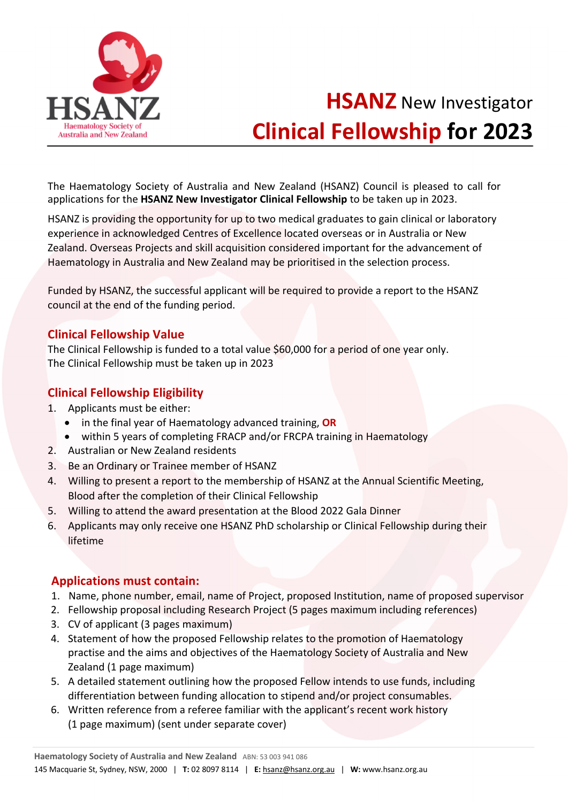

# **HSANZ** New Investigator **Clinical Fellowship for 2023**

The Haematology Society of Australia and New Zealand (HSANZ) Council is pleased to call for applications for the **HSANZ New Investigator Clinical Fellowship** to be taken up in 2023.

HSANZ is providing the opportunity for up to two medical graduates to gain clinical or laboratory experience in acknowledged Centres of Excellence located overseas or in Australia or New Zealand. Overseas Projects and skill acquisition considered important for the advancement of Haematology in Australia and New Zealand may be prioritised in the selection process.

Funded by HSANZ, the successful applicant will be required to provide a report to the HSANZ council at the end of the funding period.

### **Clinical Fellowship Value**

The Clinical Fellowship is funded to a total value \$60,000 for a period of one year only. The Clinical Fellowship must be taken up in 2023

### **Clinical Fellowship Eligibility**

- 1. Applicants must be either:
	- in the final year of Haematology advanced training, **OR**
	- within 5 years of completing FRACP and/or FRCPA training in Haematology
- 2. Australian or New Zealand residents
- 3. Be an Ordinary or Trainee member of HSANZ
- 4. Willing to present a report to the membership of HSANZ at the Annual Scientific Meeting, Blood after the completion of their Clinical Fellowship
- 5. Willing to attend the award presentation at the Blood 2022 Gala Dinner
- 6. Applicants may only receive one HSANZ PhD scholarship or Clinical Fellowship during their lifetime

### **Applications must contain:**

- 1. Name, phone number, email, name of Project, proposed Institution, name of proposed supervisor
- 2. Fellowship proposal including Research Project (5 pages maximum including references)
- 3. CV of applicant (3 pages maximum)
- 4. Statement of how the proposed Fellowship relates to the promotion of Haematology practise and the aims and objectives of the Haematology Society of Australia and New Zealand (1 page maximum)
- 5. A detailed statement outlining how the proposed Fellow intends to use funds, including differentiation between funding allocation to stipend and/or project consumables.
- 6. Written reference from a referee familiar with the applicant's recent work history (1 page maximum) (sent under separate cover)